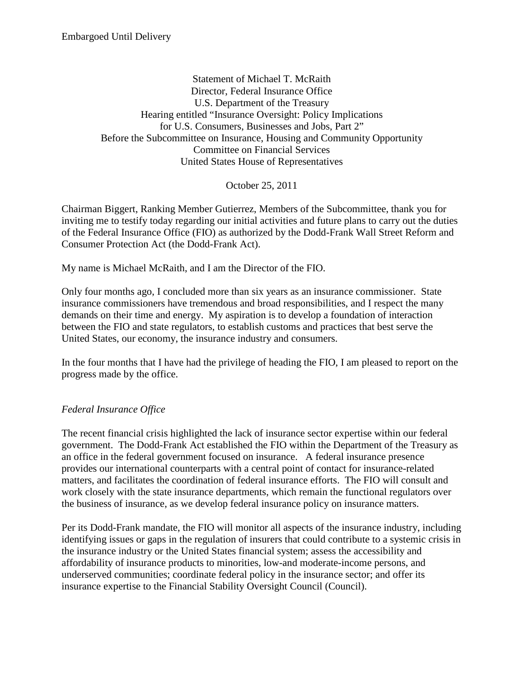Embargoed Until Delivery

Statement of Michael T. McRaith Director, Federal Insurance Office U.S. Department of the Treasury Hearing entitled "Insurance Oversight: Policy Implications for U.S. Consumers, Businesses and Jobs, Part 2" Before the Subcommittee on Insurance, Housing and Community Opportunity Committee on Financial Services United States House of Representatives

October 25, 2011

Chairman Biggert, Ranking Member Gutierrez, Members of the Subcommittee, thank you for inviting me to testify today regarding our initial activities and future plans to carry out the duties of the Federal Insurance Office (FIO) as authorized by the Dodd-Frank Wall Street Reform and Consumer Protection Act (the Dodd-Frank Act).

My name is Michael McRaith, and I am the Director of the FIO.

Only four months ago, I concluded more than six years as an insurance commissioner. State insurance commissioners have tremendous and broad responsibilities, and I respect the many demands on their time and energy. My aspiration is to develop a foundation of interaction between the FIO and state regulators, to establish customs and practices that best serve the United States, our economy, the insurance industry and consumers.

In the four months that I have had the privilege of heading the FIO, I am pleased to report on the progress made by the office.

## *Federal Insurance Office*

The recent financial crisis highlighted the lack of insurance sector expertise within our federal government. The Dodd-Frank Act established the FIO within the Department of the Treasury as an office in the federal government focused on insurance. A federal insurance presence provides our international counterparts with a central point of contact for insurance-related matters, and facilitates the coordination of federal insurance efforts. The FIO will consult and work closely with the state insurance departments, which remain the functional regulators over the business of insurance, as we develop federal insurance policy on insurance matters.

Per its Dodd-Frank mandate, the FIO will monitor all aspects of the insurance industry, including identifying issues or gaps in the regulation of insurers that could contribute to a systemic crisis in the insurance industry or the United States financial system; assess the accessibility and affordability of insurance products to minorities, low-and moderate-income persons, and underserved communities; coordinate federal policy in the insurance sector; and offer its insurance expertise to the Financial Stability Oversight Council (Council).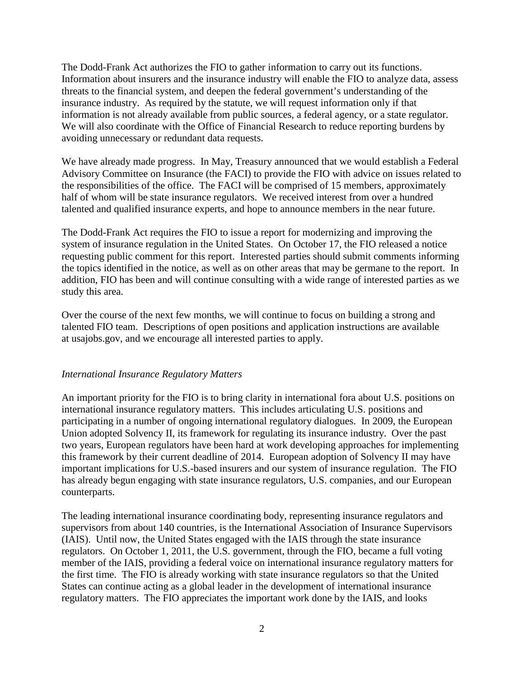The Dodd-Frank Act authorizes the FIO to gather information to carry out its functions. Information about insurers and the insurance industry will enable the FIO to analyze data, assess threats to the financial system, and deepen the federal government's understanding of the insurance industry. As required by the statute, we will request information only if that information is not already available from public sources, a federal agency, or a state regulator. We will also coordinate with the Office of Financial Research to reduce reporting burdens by avoiding unnecessary or redundant data requests.

We have already made progress. In May, Treasury announced that we would establish a Federal Advisory Committee on Insurance (the FACI) to provide the FIO with advice on issues related to the responsibilities of the office. The FACI will be comprised of 15 members, approximately half of whom will be state insurance regulators. We received interest from over a hundred talented and qualified insurance experts, and hope to announce members in the near future.

The Dodd-Frank Act requires the FIO to issue a report for modernizing and improving the system of insurance regulation in the United States. On October 17, the FIO released a notice requesting public comment for this report. Interested parties should submit comments informing the topics identified in the notice, as well as on other areas that may be germane to the report. In addition, FIO has been and will continue consulting with a wide range of interested parties as we study this area.

Over the course of the next few months, we will continue to focus on building a strong and talented FIO team. Descriptions of open positions and application instructions are available at usajobs.gov, and we encourage all interested parties to apply.

## *International Insurance Regulatory Matters*

An important priority for the FIO is to bring clarity in international fora about U.S. positions on international insurance regulatory matters. This includes articulating U.S. positions and participating in a number of ongoing international regulatory dialogues. In 2009, the European Union adopted Solvency II, its framework for regulating its insurance industry. Over the past two years, European regulators have been hard at work developing approaches for implementing this framework by their current deadline of 2014. European adoption of Solvency II may have important implications for U.S.-based insurers and our system of insurance regulation. The FIO has already begun engaging with state insurance regulators, U.S. companies, and our European counterparts.

The leading international insurance coordinating body, representing insurance regulators and supervisors from about 140 countries, is the International Association of Insurance Supervisors (IAIS). Until now, the United States engaged with the IAIS through the state insurance regulators. On October 1, 2011, the U.S. government, through the FIO, became a full voting member of the IAIS, providing a federal voice on international insurance regulatory matters for the first time. The FIO is already working with state insurance regulators so that the United States can continue acting as a global leader in the development of international insurance regulatory matters. The FIO appreciates the important work done by the IAIS, and looks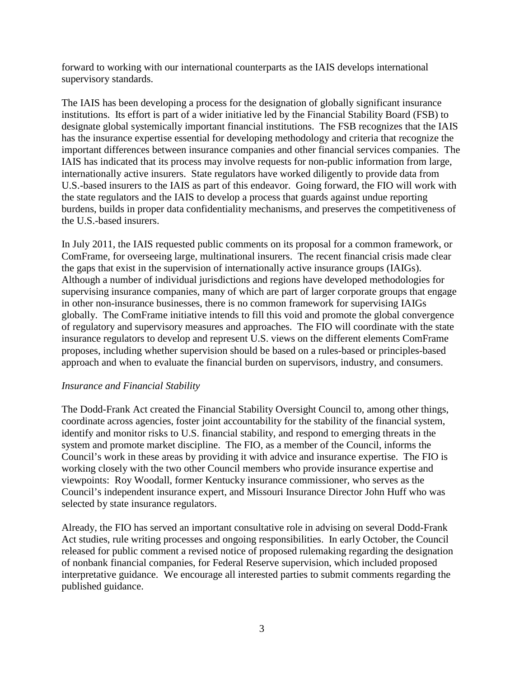forward to working with our international counterparts as the IAIS develops international supervisory standards.

The IAIS has been developing a process for the designation of globally significant insurance institutions. Its effort is part of a wider initiative led by the Financial Stability Board (FSB) to designate global systemically important financial institutions. The FSB recognizes that the IAIS has the insurance expertise essential for developing methodology and criteria that recognize the important differences between insurance companies and other financial services companies. The IAIS has indicated that its process may involve requests for non-public information from large, internationally active insurers. State regulators have worked diligently to provide data from U.S.-based insurers to the IAIS as part of this endeavor. Going forward, the FIO will work with the state regulators and the IAIS to develop a process that guards against undue reporting burdens, builds in proper data confidentiality mechanisms, and preserves the competitiveness of the U.S.-based insurers.

In July 2011, the IAIS requested public comments on its proposal for a common framework, or ComFrame, for overseeing large, multinational insurers. The recent financial crisis made clear the gaps that exist in the supervision of internationally active insurance groups (IAIGs). Although a number of individual jurisdictions and regions have developed methodologies for supervising insurance companies, many of which are part of larger corporate groups that engage in other non-insurance businesses, there is no common framework for supervising IAIGs globally. The ComFrame initiative intends to fill this void and promote the global convergence of regulatory and supervisory measures and approaches. The FIO will coordinate with the state insurance regulators to develop and represent U.S. views on the different elements ComFrame proposes, including whether supervision should be based on a rules-based or principles-based approach and when to evaluate the financial burden on supervisors, industry, and consumers.

## *Insurance and Financial Stability*

The Dodd-Frank Act created the Financial Stability Oversight Council to, among other things, coordinate across agencies, foster joint accountability for the stability of the financial system, identify and monitor risks to U.S. financial stability, and respond to emerging threats in the system and promote market discipline. The FIO, as a member of the Council, informs the Council's work in these areas by providing it with advice and insurance expertise. The FIO is working closely with the two other Council members who provide insurance expertise and viewpoints: Roy Woodall, former Kentucky insurance commissioner, who serves as the Council's independent insurance expert, and Missouri Insurance Director John Huff who was selected by state insurance regulators.

Already, the FIO has served an important consultative role in advising on several Dodd-Frank Act studies, rule writing processes and ongoing responsibilities. In early October, the Council released for public comment a revised notice of proposed rulemaking regarding the designation of nonbank financial companies, for Federal Reserve supervision, which included proposed interpretative guidance. We encourage all interested parties to submit comments regarding the published guidance.